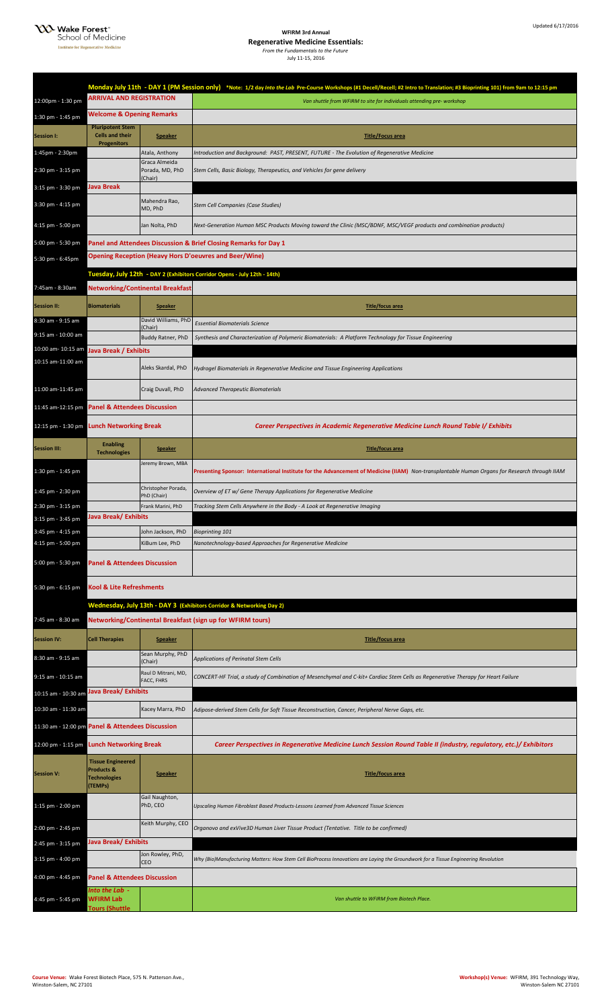**XX** Wake Forest<sup>®</sup><br>School of Medicine **Institute for Regene** لأرتب

**WFIRM 3rd Annual** 

**Regenerative Medicine Essentials:** *From the Fundamentals to the Future* July 11-15, 2016

|                                                  |                                                                          |                                     | Monday July 11th - DAY 1 (PM Session only) *Note: 1/2 day Into the Lab Pre-Course Workshops (#1 Decell/Recell; #2 Intro to Translation; #3 Bioprinting 101) from 9am to 12:15 pm |  |
|--------------------------------------------------|--------------------------------------------------------------------------|-------------------------------------|----------------------------------------------------------------------------------------------------------------------------------------------------------------------------------|--|
| 12:00pm - 1:30 pm                                | <b>ARRIVAL AND REGISTRATION</b>                                          |                                     | Van shuttle from WFIRM to site for individuals attending pre- workshop                                                                                                           |  |
| 1:30 pm - 1:45 pm                                | <b>Welcome &amp; Opening Remarks</b>                                     |                                     |                                                                                                                                                                                  |  |
| <b>Session I:</b>                                | <b>Pluripotent Stem</b><br><b>Cells and their</b>                        | <b>Speaker</b>                      | <b>Title/Focus area</b>                                                                                                                                                          |  |
| 1:45pm - 2:30pm                                  | <b>Progenitors</b>                                                       | Atala, Anthony                      | Introduction and Background:  PAST, PRESENT, FUTURE - The Evolution of Regenerative Medicine                                                                                     |  |
| 2:30 pm - 3:15 pm                                |                                                                          | Graca Almeida<br>Porada, MD, PhD    | Stem Cells, Basic Biology, Therapeutics, and Vehicles for gene delivery                                                                                                          |  |
| 3:15 pm - 3:30 pm                                | <b>Java Break</b>                                                        | (Chair)                             |                                                                                                                                                                                  |  |
| 3:30 pm - 4:15 pm                                |                                                                          | Mahendra Rao,<br>MD, PhD            | Stem Cell Companies (Case Studies)                                                                                                                                               |  |
| 4:15 pm - 5:00 pm                                |                                                                          | Jan Nolta, PhD                      | Next-Generation Human MSC Products Moving toward the Clinic (MSC/BDNF, MSC/VEGF products and combination products)                                                               |  |
| 5:00 pm - 5:30 pm                                |                                                                          |                                     | Panel and Attendees Discussion & Brief Closing Remarks for Day 1                                                                                                                 |  |
| 5:30 pm - 6:45pm                                 |                                                                          |                                     | <b>Opening Reception (Heavy Hors D'oeuvres and Beer/Wine)</b>                                                                                                                    |  |
|                                                  |                                                                          |                                     | Tuesday, July 12th - DAY 2 (Exhibitors Corridor Opens - July 12th - 14th)                                                                                                        |  |
| 7:45am - 8:30am                                  | Networking/Continental Breakfast                                         |                                     |                                                                                                                                                                                  |  |
| <b>Session II:</b>                               | <b>Biomaterials</b>                                                      | <b>Speaker</b>                      | <b>Title/focus area</b>                                                                                                                                                          |  |
| 8:30 am - 9:15 am                                |                                                                          | David Williams, PhD<br>(Chair)      | <b>Essential Biomaterials Science</b>                                                                                                                                            |  |
| 9:15 am - 10:00 am                               |                                                                          | Buddy Ratner, PhD                   | Synthesis and Characterization of Polymeric Biomaterials: A Platform Technology for Tissue Engineering                                                                           |  |
| 10:00 am- 10:15 am<br>10:15 am-11:00 am          | Java Break / Exhibits                                                    |                                     |                                                                                                                                                                                  |  |
|                                                  |                                                                          | Aleks Skardal, PhD                  | Hydrogel Biomaterials in Regenerative Medicine and Tissue Engineering Applications                                                                                               |  |
| 11:00 am-11:45 am                                |                                                                          | Craig Duvall, PhD                   | <b>Advanced Therapeutic Biomaterials</b>                                                                                                                                         |  |
| 11:45 am-12:15 pm                                | <b>Panel &amp; Attendees Discussion</b>                                  |                                     |                                                                                                                                                                                  |  |
| 12:15 pm - 1:30 pm                               | <b>Lunch Networking Break</b>                                            |                                     | <b>Career Perspectives in Academic Regenerative Medicine Lunch Round Table I/ Exhibits</b>                                                                                       |  |
| <b>Session III:</b>                              | <b>Enabling</b><br><b>Technologies</b>                                   | <b>Speaker</b>                      | <b>Title/focus area</b>                                                                                                                                                          |  |
| 1:30 pm - 1:45 pm                                |                                                                          | Jeremy Brown, MBA                   | Presenting Sponsor: International Institute for the Advancement of Medicine (IIAM) Non-transplantable Human Organs for Research through IIAM                                     |  |
| 1:45 pm - 2:30 pm                                |                                                                          | Christopher Porada,<br>PhD (Chair)  | Overview of ET w/ Gene Therapy Applications for Regenerative Medicine                                                                                                            |  |
| 2:30 pm - 3:15 pm                                |                                                                          | Frank Marini, PhD                   | Tracking Stem Cells Anywhere in the Body - A Look at Regenerative Imaging                                                                                                        |  |
| $3:15$ pm - $3:45$ pm                            | <b>Java Break/ Exhibits</b>                                              |                                     |                                                                                                                                                                                  |  |
| 3:45 pm - 4:15 pm<br>4:15 pm - 5:00 pm           |                                                                          | John Jackson, PhD<br>KiBum Lee, PhD | <b>Bioprinting 101</b><br>Nanotechnology-based Approaches for Regenerative Medicine                                                                                              |  |
|                                                  |                                                                          |                                     |                                                                                                                                                                                  |  |
| 5:00 pm - 5:30 pm                                | <b>Panel &amp; Attendees Discussion</b>                                  |                                     |                                                                                                                                                                                  |  |
| 5:30 pm - 6:15 pm                                | <b>Kool &amp; Lite Refreshments</b>                                      |                                     |                                                                                                                                                                                  |  |
|                                                  |                                                                          |                                     | Wednesday, July 13th - DAY 3 (Exhibitors Corridor & Networking Day 2)                                                                                                            |  |
| 7:45 am - 8:30 am                                |                                                                          |                                     | Networking/Continental Breakfast (sign up for WFIRM tours)                                                                                                                       |  |
| <b>Session IV:</b>                               | <b>Cell Therapies</b>                                                    | <b>Speaker</b>                      | <b>Title/focus area</b>                                                                                                                                                          |  |
| 8:30 am - 9:15 am                                |                                                                          | Sean Murphy, PhD<br>(Chair)         | Applications of Perinatal Stem Cells                                                                                                                                             |  |
| 9:15 am - 10:15 am                               |                                                                          | Raul D Mitrani, MD,<br>FACC, FHRS   | CONCERT-HF Trial, a study of Combination of Mesenchymal and C-kit+ Cardiac Stem Cells as Regenerative Therapy for Heart Failure                                                  |  |
| 10:15 am - 10:30 am                              | Java Break/ Exhibits                                                     |                                     |                                                                                                                                                                                  |  |
| 10:30 am - 11:30 am                              |                                                                          | Kacey Marra, PhD                    | Adipose-derived Stem Cells for Soft Tissue Reconstruction, Cancer, Peripheral Nerve Gaps, etc.                                                                                   |  |
| 11:30 am - 12:00 pm Panel & Attendees Discussion |                                                                          |                                     |                                                                                                                                                                                  |  |
| 12:00 pm - 1:15 pm                               | <b>Lunch Networking Break</b>                                            |                                     | Career Perspectives in Regenerative Medicine Lunch Session Round Table II (industry, regulatory, etc.)/ Exhibitors                                                               |  |
| <b>Session V:</b>                                | <b>Tissue Engineered</b><br>Products &<br><b>Technologies</b><br>(TEMPs) | <b>Speaker</b>                      | <b>Title/focus area</b>                                                                                                                                                          |  |
| 1:15 pm - 2:00 pm                                |                                                                          | Gail Naughton,<br>PhD, CEO          | Upscaling Human Fibroblast Based Products-Lessons Learned from Advanced Tissue Sciences                                                                                          |  |
| 2:00 pm - 2:45 pm                                |                                                                          | Keith Murphy, CEO                   | Organovo and exVive3D Human Liver Tissue Product (Tentative. Title to be confirmed)                                                                                              |  |
| 2:45 pm - 3:15 pm                                | Java Break/ Exhibits                                                     |                                     |                                                                                                                                                                                  |  |
| 3:15 pm - 4:00 pm                                |                                                                          | Jon Rowley, PhD,<br>CEO             | Why (Bio)Manufacturing Matters: How Stem Cell BioProcess Innovations are Laying the Groundwork for a Tissue Engineering Revolution                                               |  |
| 4:00 pm - 4:45 pm                                | <b>Panel &amp; Attendees Discussion</b>                                  |                                     |                                                                                                                                                                                  |  |
| 4:45 pm - 5:45 pm                                | Into the Lab  -<br><b>WFIRM Lab</b><br><b>Tours (Shuttle</b>             |                                     | Van shuttle to WFIRM from Biotech Place.                                                                                                                                         |  |